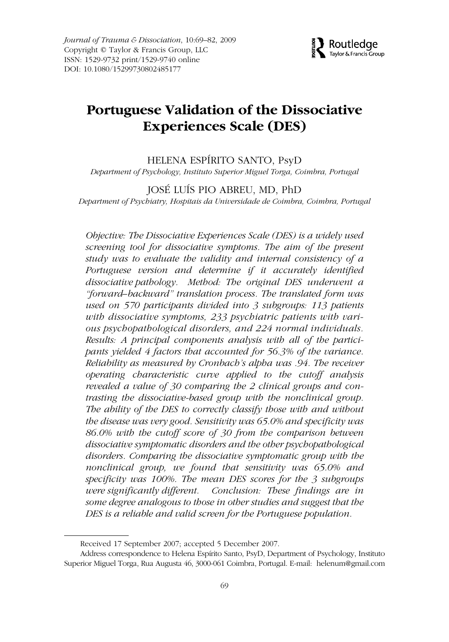

# WJTD 1529-9732 1529-9740Journal of Trauma & Dissociation, Vol. 10, No. 1, Nov 2008: pp. 0–0 Dissociation**Portuguese Validation of the Dissociative Experiences Scale (DES)**

# HELENA ESPÍRITO SANTO, PsyD.

*Department of Psychology, Instituto Superior Miguel Torga, Coimbra, Portugal*

# JOSÉ LUÍS PIO ABREU, MD, PhD

*Department of Psychiatry, Hospitais da Universidade de Coimbra, Coimbra, Portugal*

*Objective: The Dissociative Experiences Scale (DES) is a widely used screening tool for dissociative symptoms. The aim of the present study was to evaluate the validity and internal consistency of a Portuguese version and determine if it accurately identified dissociative pathology. Method: The original DES underwent a "forward–backward" translation process. The translated form was used on 570 participants divided into 3 subgroups: 113 patients with dissociative symptoms, 233 psychiatric patients with various psychopathological disorders, and 224 normal individuals. Results: A principal components analysis with all of the participants yielded 4 factors that accounted for 56.3% of the variance. Reliability as measured by Cronbach's alpha was .94. The receiver operating characteristic curve applied to the cutoff analysis revealed a value of 30 comparing the 2 clinical groups and contrasting the dissociative-based group with the nonclinical group. The ability of the DES to correctly classify those with and without the disease was very good. Sensitivity was 65.0% and specificity was 86.0% with the cutoff score of 30 from the comparison between dissociative symptomatic disorders and the other psychopathological disorders. Comparing the dissociative symptomatic group with the nonclinical group, we found that sensitivity was 65.0% and specificity was 100%. The mean DES scores for the 3 subgroups were significantly different. Conclusion: These findings are in some degree analogous to those in other studies and suggest that the DES is a reliable and valid screen for the Portuguese population.*

Received 17 September 2007; accepted 5 December 2007.

Address correspondence to Helena Espírito Santo, PsyD, Department of Psychology, Instituto Superior Miguel Torga, Rua Augusta 46, 3000-061 Coimbra, Portugal. E-mail: helenum@gmail.com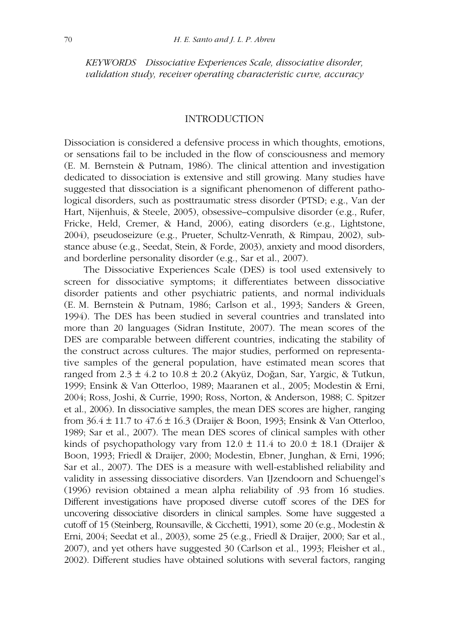*KEYWORDS Dissociative Experiences Scale, dissociative disorder, validation study, receiver operating characteristic curve, accuracy*

## INTRODUCTION

Dissociation is considered a defensive process in which thoughts, emotions, or sensations fail to be included in the flow of consciousness and memory (E. M. Bernstein & Putnam, 1986). The clinical attention and investigation dedicated to dissociation is extensive and still growing. Many studies have suggested that dissociation is a significant phenomenon of different pathological disorders, such as posttraumatic stress disorder (PTSD; e.g., Van der Hart, Nijenhuis, & Steele, 2005), obsessive–compulsive disorder (e.g., Rufer, Fricke, Held, Cremer, & Hand, 2006), eating disorders (e.g., Lightstone, 2004), pseudoseizure (e.g., Prueter, Schultz-Venrath, & Rimpau, 2002), substance abuse (e.g., Seedat, Stein, & Forde, 2003), anxiety and mood disorders, and borderline personality disorder (e.g., Sar et al., 2007).

The Dissociative Experiences Scale (DES) is tool used extensively to screen for dissociative symptoms; it differentiates between dissociative disorder patients and other psychiatric patients, and normal individuals (E. M. Bernstein & Putnam, 1986; Carlson et al., 1993; Sanders & Green, 1994). The DES has been studied in several countries and translated into more than 20 languages (Sidran Institute, 2007). The mean scores of the DES are comparable between different countries, indicating the stability of the construct across cultures. The major studies, performed on representative samples of the general population, have estimated mean scores that ranged from  $2.3 \pm 4.2$  to  $10.8 \pm 20.2$  (Akyüz, Doğan, Sar, Yargic, & Tutkun, 1999; Ensink & Van Otterloo, 1989; Maaranen et al., 2005; Modestin & Erni, 2004; Ross, Joshi, & Currie, 1990; Ross, Norton, & Anderson, 1988; C. Spitzer et al., 2006). In dissociative samples, the mean DES scores are higher, ranging from 36.4 ± 11.7 to 47.6 ± 16.3 (Draijer & Boon, 1993; Ensink & Van Otterloo, 1989; Sar et al., 2007). The mean DES scores of clinical samples with other kinds of psychopathology vary from  $12.0 \pm 11.4$  to  $20.0 \pm 18.1$  (Draijer & Boon, 1993; Friedl & Draijer, 2000; Modestin, Ebner, Junghan, & Erni, 1996; Sar et al., 2007). The DES is a measure with well-established reliability and validity in assessing dissociative disorders. Van IJzendoorn and Schuengel's (1996) revision obtained a mean alpha reliability of .93 from 16 studies. Different investigations have proposed diverse cutoff scores of the DES for uncovering dissociative disorders in clinical samples. Some have suggested a cutoff of 15 (Steinberg, Rounsaville, & Cicchetti, 1991), some 20 (e.g., Modestin & Erni, 2004; Seedat et al., 2003), some 25 (e.g., Friedl & Draijer, 2000; Sar et al., 2007), and yet others have suggested 30 (Carlson et al., 1993; Fleisher et al., 2002). Different studies have obtained solutions with several factors, ranging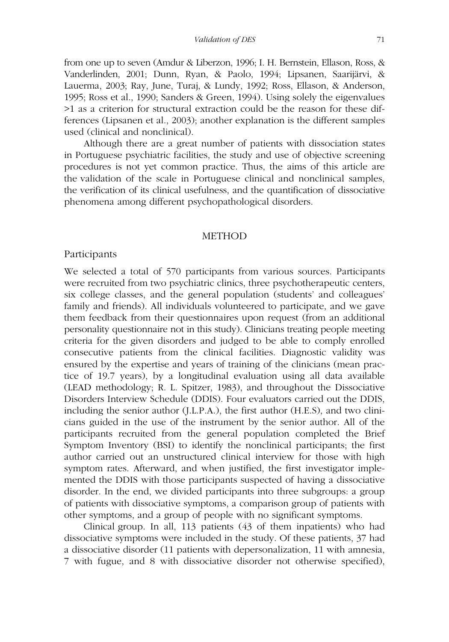from one up to seven (Amdur & Liberzon, 1996; I. H. Bernstein, Ellason, Ross, & Vanderlinden, 2001; Dunn, Ryan, & Paolo, 1994; Lipsanen, Saarijärvi, & Lauerma, 2003; Ray, June, Turaj, & Lundy, 1992; Ross, Ellason, & Anderson, 1995; Ross et al., 1990; Sanders & Green, 1994). Using solely the eigenvalues >1 as a criterion for structural extraction could be the reason for these differences (Lipsanen et al., 2003); another explanation is the different samples used (clinical and nonclinical).

Although there are a great number of patients with dissociation states in Portuguese psychiatric facilities, the study and use of objective screening procedures is not yet common practice. Thus, the aims of this article are the validation of the scale in Portuguese clinical and nonclinical samples, the verification of its clinical usefulness, and the quantification of dissociative phenomena among different psychopathological disorders.

#### **METHOD**

#### Participants

We selected a total of 570 participants from various sources. Participants were recruited from two psychiatric clinics, three psychotherapeutic centers, six college classes, and the general population (students' and colleagues' family and friends). All individuals volunteered to participate, and we gave them feedback from their questionnaires upon request (from an additional personality questionnaire not in this study). Clinicians treating people meeting criteria for the given disorders and judged to be able to comply enrolled consecutive patients from the clinical facilities. Diagnostic validity was ensured by the expertise and years of training of the clinicians (mean practice of 19.7 years), by a longitudinal evaluation using all data available (LEAD methodology; R. L. Spitzer, 1983), and throughout the Dissociative Disorders Interview Schedule (DDIS). Four evaluators carried out the DDIS, including the senior author (J.L.P.A.), the first author (H.E.S), and two clinicians guided in the use of the instrument by the senior author. All of the participants recruited from the general population completed the Brief Symptom Inventory (BSI) to identify the nonclinical participants; the first author carried out an unstructured clinical interview for those with high symptom rates. Afterward, and when justified, the first investigator implemented the DDIS with those participants suspected of having a dissociative disorder. In the end, we divided participants into three subgroups: a group of patients with dissociative symptoms, a comparison group of patients with other symptoms, and a group of people with no significant symptoms.

Clinical group. In all, 113 patients (43 of them inpatients) who had dissociative symptoms were included in the study. Of these patients, 37 had a dissociative disorder (11 patients with depersonalization, 11 with amnesia, 7 with fugue, and 8 with dissociative disorder not otherwise specified),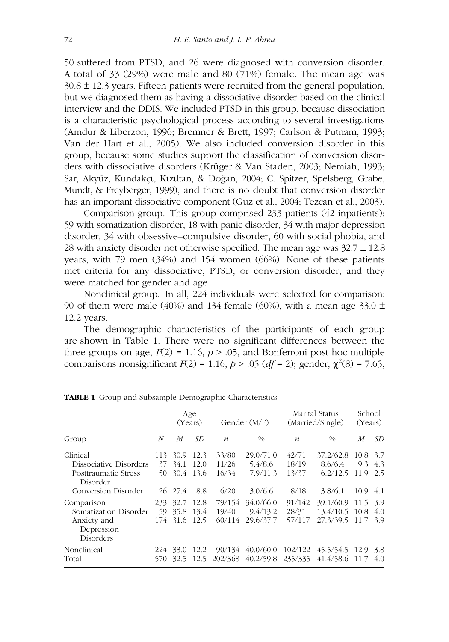50 suffered from PTSD, and 26 were diagnosed with conversion disorder. A total of 33 (29%) were male and 80 (71%) female. The mean age was  $30.8 \pm 12.3$  years. Fifteen patients were recruited from the general population, but we diagnosed them as having a dissociative disorder based on the clinical interview and the DDIS. We included PTSD in this group, because dissociation is a characteristic psychological process according to several investigations (Amdur & Liberzon, 1996; Bremner & Brett, 1997; Carlson & Putnam, 1993; Van der Hart et al., 2005). We also included conversion disorder in this group, because some studies support the classification of conversion disorders with dissociative disorders (Krüger & Van Staden, 2003; Nemiah, 1993; Sar, Akyüz, Kundakçι, Kιzιltan, & Dogan, 2004; C. Spitzer, Spelsberg, Grabe, Mundt, & Freyberger, 1999), and there is no doubt that conversion disorder has an important dissociative component (Guz et al., 2004; Tezcan et al., 2003).

Comparison group. This group comprised 233 patients (42 inpatients): 59 with somatization disorder, 18 with panic disorder, 34 with major depression disorder, 34 with obsessive–compulsive disorder, 60 with social phobia, and 28 with anxiety disorder not otherwise specified. The mean age was  $32.7 \pm 12.8$ years, with 79 men (34%) and 154 women (66%). None of these patients met criteria for any dissociative, PTSD, or conversion disorder, and they were matched for gender and age.

Nonclinical group. In all, 224 individuals were selected for comparison: 90 of them were male (40%) and 134 female (60%), with a mean age 33.0  $\pm$ 12.2 years.

The demographic characteristics of the participants of each group are shown in Table 1. There were no significant differences between the three groups on age,  $F(2) = 1.16$ ,  $p > 0.05$ , and Bonferroni post hoc multiple comparisons nonsignificant  $F(2) = 1.16$ ,  $p > .05$  ( $df = 2$ ); gender,  $\chi^2(8) = 7.65$ ,

|                                                                                      |            |              | Age<br>(Years) |                   | Gender $(M/F)$                 | Marital Status<br>(Married/Single) |                                    | School<br>(Years) |            |
|--------------------------------------------------------------------------------------|------------|--------------|----------------|-------------------|--------------------------------|------------------------------------|------------------------------------|-------------------|------------|
| Group                                                                                | N          | M            | SD             | $\boldsymbol{n}$  | $\%$                           | $\boldsymbol{n}$                   | $\frac{0}{0}$                      | М                 | SD         |
| Clinical                                                                             | 113        | 30.9         | 12.3           | 33/80             | 29.0/71.0                      | 42/71                              | 37.2/62.8                          | 10.8              | 3.7        |
| Dissociative Disorders                                                               | 37         | 34.1         | 12.0           | 11/26             | 5.4/8.6                        | 18/19                              | 8.6/6.4                            | 9.3               | 4.3        |
| Posttraumatic Stress<br>Disorder                                                     | 50.        |              | 30.4 13.6      | 16/34             | 7.9/11.3                       | 13/37                              | 6.2/12.5                           | 11.9              | 2.5        |
| Conversion Disorder                                                                  |            | 26 27.4      | 8.8            | 6/20              | 3.0/6.6                        | 8/18                               | 3.8/6.1                            | 10.9              | 4.1        |
| Comparison<br>Somatization Disorder<br>Anxiety and<br>Depression<br><b>Disorders</b> | 233<br>59  | 32.7<br>35.8 | 12.8<br>13.4   | 79/154<br>19/40   | 34.0/66.0<br>9.4/13.2          | 91/142<br>28/31                    | 39.1/60.9 11.5<br>$13.4/10.5$ 10.8 |                   | 3.9<br>4.0 |
|                                                                                      | 174        |              | 31.6 12.5      | 60/114            | 29.6/37.7                      | 57/117                             | 27.3/39.5 11.7 3.9                 |                   |            |
| Nonclinical<br>Total                                                                 | 224<br>570 | 33.0<br>32.5 | 12.2<br>12.5   | 90/134<br>202/368 | 40.0/60.0<br>40.2/59.8 235/335 | 102/122                            | 45.5/54.5 12.9<br>41.4/58.6        | 11.7              | 3.8<br>4.0 |

**TABLE 1** Group and Subsample Demographic Characteristics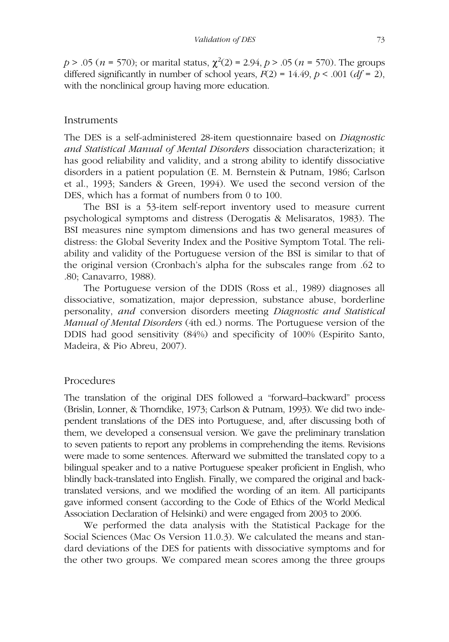$p > .05$  ( $n = 570$ ); or marital status,  $\chi^2(2) = 2.94$ ,  $p > .05$  ( $n = 570$ ). The groups differed significantly in number of school years,  $F(2) = 14.49$ ,  $p < .001$  ( $df = 2$ ), with the nonclinical group having more education.

#### **Instruments**

The DES is a self-administered 28-item questionnaire based on *Diagnostic and Statistical Manual of Mental Disorders* dissociation characterization; it has good reliability and validity, and a strong ability to identify dissociative disorders in a patient population (E. M. Bernstein & Putnam, 1986; Carlson et al., 1993; Sanders & Green, 1994). We used the second version of the DES, which has a format of numbers from 0 to 100.

The BSI is a 53-item self-report inventory used to measure current psychological symptoms and distress (Derogatis & Melisaratos, 1983). The BSI measures nine symptom dimensions and has two general measures of distress: the Global Severity Index and the Positive Symptom Total. The reliability and validity of the Portuguese version of the BSI is similar to that of the original version (Cronbach's alpha for the subscales range from .62 to .80; Canavarro, 1988).

The Portuguese version of the DDIS (Ross et al., 1989) diagnoses all dissociative, somatization, major depression, substance abuse, borderline personality, *and* conversion disorders meeting *Diagnostic and Statistical Manual of Mental Disorders* (4th ed.) norms. The Portuguese version of the DDIS had good sensitivity (84%) and specificity of 100% (Espirito Santo, Madeira, & Pio Abreu, 2007).

#### Procedures

The translation of the original DES followed a "forward–backward" process (Brislin, Lonner, & Thorndike, 1973; Carlson & Putnam, 1993). We did two independent translations of the DES into Portuguese, and, after discussing both of them, we developed a consensual version. We gave the preliminary translation to seven patients to report any problems in comprehending the items. Revisions were made to some sentences. Afterward we submitted the translated copy to a bilingual speaker and to a native Portuguese speaker proficient in English, who blindly back-translated into English. Finally, we compared the original and backtranslated versions, and we modified the wording of an item. All participants gave informed consent (according to the Code of Ethics of the World Medical Association Declaration of Helsinki) and were engaged from 2003 to 2006.

We performed the data analysis with the Statistical Package for the Social Sciences (Mac Os Version 11.0.3). We calculated the means and standard deviations of the DES for patients with dissociative symptoms and for the other two groups. We compared mean scores among the three groups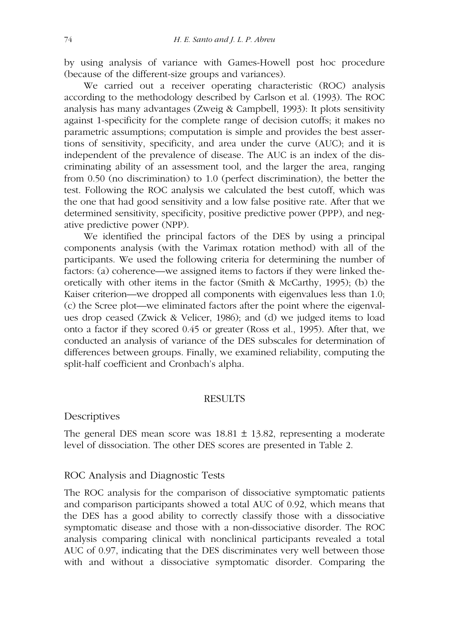by using analysis of variance with Games-Howell post hoc procedure (because of the different-size groups and variances).

We carried out a receiver operating characteristic (ROC) analysis according to the methodology described by Carlson et al. (1993). The ROC analysis has many advantages (Zweig & Campbell, 1993): It plots sensitivity against 1-specificity for the complete range of decision cutoffs; it makes no parametric assumptions; computation is simple and provides the best assertions of sensitivity, specificity, and area under the curve (AUC); and it is independent of the prevalence of disease. The AUC is an index of the discriminating ability of an assessment tool, and the larger the area, ranging from 0.50 (no discrimination) to 1.0 (perfect discrimination), the better the test. Following the ROC analysis we calculated the best cutoff, which was the one that had good sensitivity and a low false positive rate. After that we determined sensitivity, specificity, positive predictive power (PPP), and negative predictive power (NPP).

We identified the principal factors of the DES by using a principal components analysis (with the Varimax rotation method) with all of the participants. We used the following criteria for determining the number of factors: (a) coherence—we assigned items to factors if they were linked theoretically with other items in the factor (Smith & McCarthy, 1995); (b) the Kaiser criterion—we dropped all components with eigenvalues less than 1.0; (c) the Scree plot—we eliminated factors after the point where the eigenvalues drop ceased (Zwick & Velicer, 1986); and (d) we judged items to load onto a factor if they scored 0.45 or greater (Ross et al., 1995). After that, we conducted an analysis of variance of the DES subscales for determination of differences between groups. Finally, we examined reliability, computing the split-half coefficient and Cronbach's alpha.

# **RESULTS**

# **Descriptives**

The general DES mean score was  $18.81 \pm 13.82$ , representing a moderate level of dissociation. The other DES scores are presented in Table 2.

## ROC Analysis and Diagnostic Tests

The ROC analysis for the comparison of dissociative symptomatic patients and comparison participants showed a total AUC of 0.92, which means that the DES has a good ability to correctly classify those with a dissociative symptomatic disease and those with a non-dissociative disorder. The ROC analysis comparing clinical with nonclinical participants revealed a total AUC of 0.97, indicating that the DES discriminates very well between those with and without a dissociative symptomatic disorder. Comparing the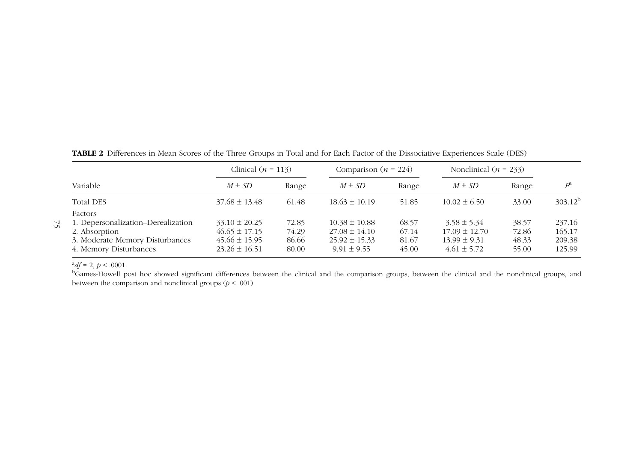|                                                                                                                             | Clinical ( $n = 113$ )                                                           |                                  | Comparison ( $n = 224$ )                                                       |                                  | Nonclinical ( $n = 233$ )                                                   |                                  |                                      |  |
|-----------------------------------------------------------------------------------------------------------------------------|----------------------------------------------------------------------------------|----------------------------------|--------------------------------------------------------------------------------|----------------------------------|-----------------------------------------------------------------------------|----------------------------------|--------------------------------------|--|
| Variable                                                                                                                    | $M \pm SD$                                                                       | Range                            | $M \pm SD$                                                                     | Range                            | $M \pm SD$                                                                  | Range                            | F <sup>a</sup>                       |  |
| <b>Total DES</b>                                                                                                            | $37.68 \pm 13.48$                                                                | 61.48                            | $18.63 \pm 10.19$                                                              | 51.85                            | $10.02 \pm 6.50$                                                            | 33.00                            | $303.12^{b}$                         |  |
| Factors<br>1. Depersonalization-Derealization<br>2. Absorption<br>3. Moderate Memory Disturbances<br>4. Memory Disturbances | $33.10 \pm 20.25$<br>$46.65 \pm 17.15$<br>$45.66 \pm 15.95$<br>$23.26 \pm 16.51$ | 72.85<br>74.29<br>86.66<br>80.00 | $10.38 \pm 10.88$<br>$27.08 \pm 14.10$<br>$25.92 \pm 15.33$<br>$9.91 \pm 9.55$ | 68.57<br>67.14<br>81.67<br>45.00 | $3.58 \pm 5.34$<br>$17.09 \pm 12.70$<br>$13.99 \pm 9.31$<br>$4.61 \pm 5.72$ | 38.57<br>72.86<br>48.33<br>55.00 | 237.16<br>165.17<br>209.38<br>125.99 |  |

**TABLE 2** Differences in Mean Scores of the Three Groups in Total and for Each Factor of the Dissociative Experiences Scale (DES)

 $^{a}df = 2, p < .0001.$ 

 $\mathcal{L}$ 

bGames-Howell post hoc showed significant differences between the clinical and the comparison groups, between the clinical and the nonclinical groups, and between the comparison and nonclinical groups ( $p < .001$ ).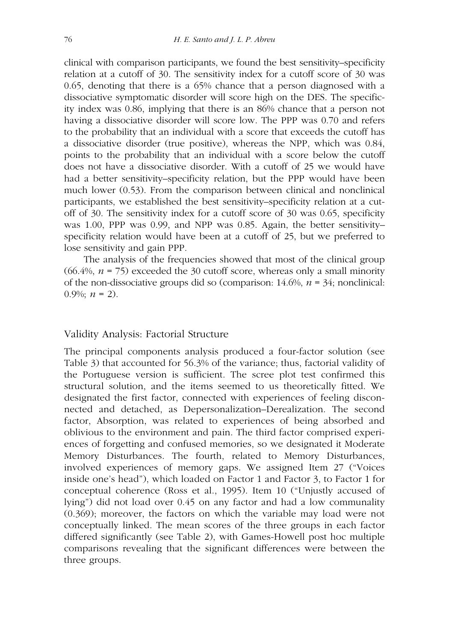clinical with comparison participants, we found the best sensitivity–specificity relation at a cutoff of 30. The sensitivity index for a cutoff score of 30 was 0.65, denoting that there is a 65% chance that a person diagnosed with a dissociative symptomatic disorder will score high on the DES. The specificity index was 0.86, implying that there is an 86% chance that a person not having a dissociative disorder will score low. The PPP was 0.70 and refers to the probability that an individual with a score that exceeds the cutoff has a dissociative disorder (true positive), whereas the NPP, which was 0.84, points to the probability that an individual with a score below the cutoff does not have a dissociative disorder. With a cutoff of 25 we would have had a better sensitivity–specificity relation, but the PPP would have been much lower (0.53). From the comparison between clinical and nonclinical participants, we established the best sensitivity–specificity relation at a cutoff of 30. The sensitivity index for a cutoff score of 30 was 0.65, specificity was 1.00, PPP was 0.99, and NPP was 0.85. Again, the better sensitivity– specificity relation would have been at a cutoff of 25, but we preferred to lose sensitivity and gain PPP.

The analysis of the frequencies showed that most of the clinical group (66.4%, *n* = 75) exceeded the 30 cutoff score, whereas only a small minority of the non-dissociative groups did so (comparison:  $14.6\%$ ,  $n = 34$ ; nonclinical: 0.9%;  $n = 2$ ).

## Validity Analysis: Factorial Structure

The principal components analysis produced a four-factor solution (see Table 3) that accounted for 56.3% of the variance; thus, factorial validity of the Portuguese version is sufficient. The scree plot test confirmed this structural solution, and the items seemed to us theoretically fitted. We designated the first factor, connected with experiences of feeling disconnected and detached, as Depersonalization–Derealization. The second factor, Absorption, was related to experiences of being absorbed and oblivious to the environment and pain. The third factor comprised experiences of forgetting and confused memories, so we designated it Moderate Memory Disturbances. The fourth, related to Memory Disturbances, involved experiences of memory gaps. We assigned Item 27 ("Voices inside one's head"), which loaded on Factor 1 and Factor 3, to Factor 1 for conceptual coherence (Ross et al., 1995). Item 10 ("Unjustly accused of lying") did not load over 0.45 on any factor and had a low communality (0.369); moreover, the factors on which the variable may load were not conceptually linked. The mean scores of the three groups in each factor differed significantly (see Table 2), with Games-Howell post hoc multiple comparisons revealing that the significant differences were between the three groups.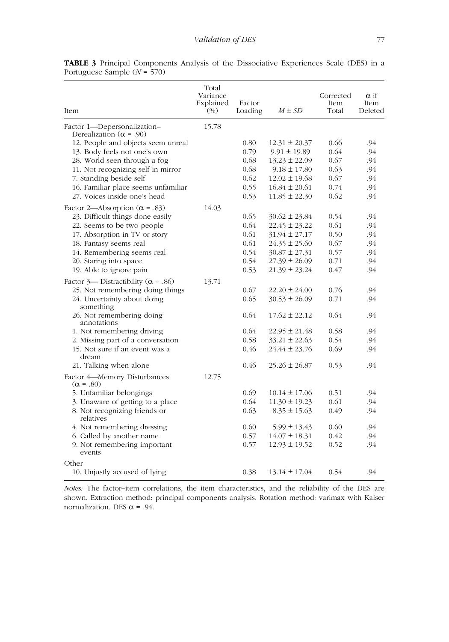| Item                                             | Total<br>Variance<br>Explained<br>$(\%)$ | Factor<br>Loading | $M \pm SD$        | Corrected<br><b>Item</b><br>Total | $\alpha$ if<br>Item<br>Deleted |  |
|--------------------------------------------------|------------------------------------------|-------------------|-------------------|-----------------------------------|--------------------------------|--|
| Factor 1-Depersonalization-                      | 15.78                                    |                   |                   |                                   |                                |  |
| Derealization ( $\alpha$ = .90)                  |                                          |                   |                   |                                   |                                |  |
| 12. People and objects seem unreal               |                                          | 0.80              | $12.31 \pm 20.37$ | 0.66                              | .94                            |  |
| 13. Body feels not one's own                     |                                          | 0.79              | $9.91 \pm 19.89$  | 0.64                              | .94                            |  |
| 28. World seen through a fog                     |                                          | 0.68              | $13.23 \pm 22.09$ | 0.67                              | .94                            |  |
| 11. Not recognizing self in mirror               |                                          | 0.68              | $9.18 \pm 17.80$  | 0.63                              | .94                            |  |
| 7. Standing beside self                          |                                          | 0.62              | $12.02 \pm 19.68$ | 0.67                              | .94                            |  |
| 16. Familiar place seems unfamiliar              |                                          | 0.55              | $16.84 \pm 20.61$ | 0.74                              | .94                            |  |
| 27. Voices inside one's head                     |                                          | 0.53              | $11.85 \pm 22.30$ | 0.62                              | .94                            |  |
| Factor 2—Absorption ( $\alpha$ = .83)            | 14.03                                    |                   |                   |                                   |                                |  |
| 23. Difficult things done easily                 |                                          | 0.65              | $30.62 \pm 23.84$ | 0.54                              | .94                            |  |
| 22. Seems to be two people                       |                                          | 0.64              | $22.45 \pm 23.22$ | 0.61                              | .94                            |  |
| 17. Absorption in TV or story                    |                                          | 0.61              | $31.94 \pm 27.17$ | 0.50                              | .94                            |  |
| 18. Fantasy seems real                           |                                          | 0.61              | $24.35 \pm 25.60$ | 0.67                              | .94                            |  |
| 14. Remembering seems real                       |                                          | 0.54              | $30.87 \pm 27.31$ | 0.57                              | .94                            |  |
| 20. Staring into space                           |                                          | 0.54              | $27.39 \pm 26.09$ | 0.71                              | .94                            |  |
| 19. Able to ignore pain                          |                                          | 0.53              | $21.39 \pm 23.24$ | 0.47                              | .94                            |  |
| Factor 3— Distractibility ( $\alpha$ = .86)      | 13.71                                    |                   |                   |                                   |                                |  |
| 25. Not remembering doing things                 |                                          | 0.67              | $22.20 \pm 24.00$ | 0.76                              | .94                            |  |
| 24. Uncertainty about doing<br>something         |                                          | 0.65              | $30.53 \pm 26.09$ | 0.71                              | .94                            |  |
| 26. Not remembering doing<br>annotations         |                                          | 0.64              | $17.62 \pm 22.12$ | 0.64                              | .94                            |  |
| 1. Not remembering driving                       |                                          | 0.64              | $22.95 \pm 21.48$ | 0.58                              | .94                            |  |
| 2. Missing part of a conversation                |                                          | 0.58              | $33.21 \pm 22.63$ | 0.54                              | .94                            |  |
| 15. Not sure if an event was a<br>dream          |                                          | 0.46              | $24.44 \pm 23.76$ | 0.69                              | .94                            |  |
| 21. Talking when alone                           |                                          | 0.46              | $25.26 \pm 26.87$ | 0.53                              | .94                            |  |
| Factor 4-Memory Disturbances<br>$(\alpha = .80)$ | 12.75                                    |                   |                   |                                   |                                |  |
| 5. Unfamiliar belongings                         |                                          | 0.69              | $10.14 \pm 17.06$ | 0.51                              | .94                            |  |
| 3. Unaware of getting to a place                 |                                          | 0.64              | $11.30 \pm 19.23$ | 0.61                              | .94                            |  |
| 8. Not recognizing friends or<br>relatives       |                                          | 0.63              | $8.35 \pm 15.63$  | 0.49                              | .94                            |  |
| 4. Not remembering dressing                      |                                          | 0.60              | $5.99 \pm 13.43$  | 0.60                              | .94                            |  |
| 6. Called by another name                        |                                          | 0.57              | $14.07 \pm 18.31$ | 0.42                              | .94                            |  |
| 9. Not remembering important<br>events           |                                          | 0.57              | $12.93 \pm 19.52$ | 0.52                              | .94                            |  |
| Other                                            |                                          |                   |                   |                                   |                                |  |
| 10. Unjustly accused of lying                    |                                          | 0.38              | $13.14 \pm 17.04$ | 0.54                              | .94                            |  |

|  | <b>TABLE 3</b> Principal Components Analysis of the Dissociative Experiences Scale (DES) in a |  |  |  |  |  |
|--|-----------------------------------------------------------------------------------------------|--|--|--|--|--|
|  | Portuguese Sample $(N = 570)$                                                                 |  |  |  |  |  |

*Notes:* The factor–item correlations, the item characteristics, and the reliability of the DES are shown. Extraction method: principal components analysis. Rotation method: varimax with Kaiser normalization. DES  $\alpha$  = .94.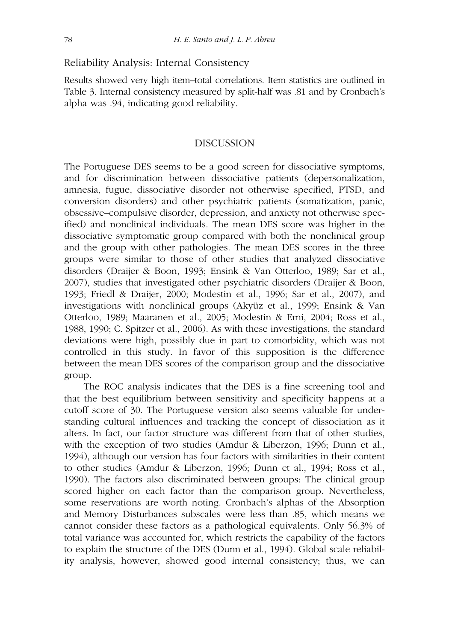# Reliability Analysis: Internal Consistency

Results showed very high item–total correlations. Item statistics are outlined in Table 3. Internal consistency measured by split-half was .81 and by Cronbach's alpha was .94, indicating good reliability.

# DISCUSSION

The Portuguese DES seems to be a good screen for dissociative symptoms, and for discrimination between dissociative patients (depersonalization, amnesia, fugue, dissociative disorder not otherwise specified, PTSD, and conversion disorders) and other psychiatric patients (somatization, panic, obsessive–compulsive disorder, depression, and anxiety not otherwise specified) and nonclinical individuals. The mean DES score was higher in the dissociative symptomatic group compared with both the nonclinical group and the group with other pathologies. The mean DES scores in the three groups were similar to those of other studies that analyzed dissociative disorders (Draijer & Boon, 1993; Ensink & Van Otterloo, 1989; Sar et al., 2007), studies that investigated other psychiatric disorders (Draijer & Boon, 1993; Friedl & Draijer, 2000; Modestin et al., 1996; Sar et al., 2007), and investigations with nonclinical groups (Akyüz et al., 1999; Ensink & Van Otterloo, 1989; Maaranen et al., 2005; Modestin & Erni, 2004; Ross et al., 1988, 1990; C. Spitzer et al., 2006). As with these investigations, the standard deviations were high, possibly due in part to comorbidity, which was not controlled in this study. In favor of this supposition is the difference between the mean DES scores of the comparison group and the dissociative group.

The ROC analysis indicates that the DES is a fine screening tool and that the best equilibrium between sensitivity and specificity happens at a cutoff score of 30. The Portuguese version also seems valuable for understanding cultural influences and tracking the concept of dissociation as it alters. In fact, our factor structure was different from that of other studies, with the exception of two studies (Amdur & Liberzon, 1996; Dunn et al., 1994), although our version has four factors with similarities in their content to other studies (Amdur & Liberzon, 1996; Dunn et al., 1994; Ross et al., 1990). The factors also discriminated between groups: The clinical group scored higher on each factor than the comparison group. Nevertheless, some reservations are worth noting. Cronbach's alphas of the Absorption and Memory Disturbances subscales were less than .85, which means we cannot consider these factors as a pathological equivalents. Only 56.3% of total variance was accounted for, which restricts the capability of the factors to explain the structure of the DES (Dunn et al., 1994). Global scale reliability analysis, however, showed good internal consistency; thus, we can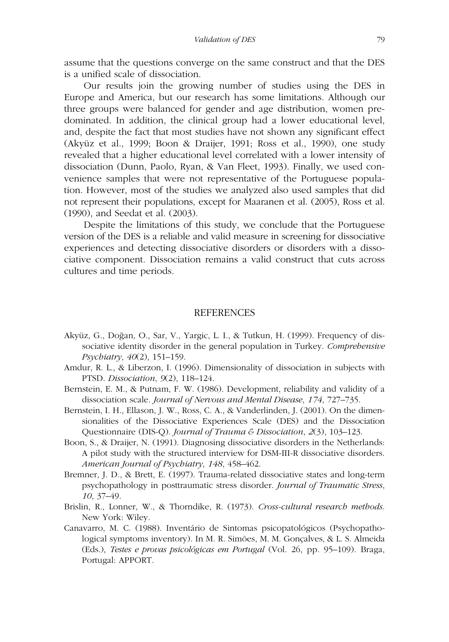assume that the questions converge on the same construct and that the DES is a unified scale of dissociation.

Our results join the growing number of studies using the DES in Europe and America, but our research has some limitations. Although our three groups were balanced for gender and age distribution, women predominated. In addition, the clinical group had a lower educational level, and, despite the fact that most studies have not shown any significant effect (Akyüz et al., 1999; Boon & Draijer, 1991; Ross et al., 1990), one study revealed that a higher educational level correlated with a lower intensity of dissociation (Dunn, Paolo, Ryan, & Van Fleet, 1993). Finally, we used convenience samples that were not representative of the Portuguese population. However, most of the studies we analyzed also used samples that did not represent their populations, except for Maaranen et al. (2005), Ross et al. (1990), and Seedat et al. (2003).

Despite the limitations of this study, we conclude that the Portuguese version of the DES is a reliable and valid measure in screening for dissociative experiences and detecting dissociative disorders or disorders with a dissociative component. Dissociation remains a valid construct that cuts across cultures and time periods.

#### REFERENCES

- Akyüz, G., Dogan, O., Sar, V., Yargic, L. I., & Tutkun, H. (1999). Frequency of dissociative identity disorder in the general population in Turkey. *Comprehensive Psychiatry*, *40*(2), 151–159.
- Amdur, R. L., & Liberzon, I. (1996). Dimensionality of dissociation in subjects with PTSD. *Dissociation*, *9*(2), 118–124.
- Bernstein, E. M., & Putnam, F. W. (1986). Development, reliability and validity of a dissociation scale. *Journal of Nervous and Mental Disease*, *174*, 727–735.
- Bernstein, I. H., Ellason, J. W., Ross, C. A., & Vanderlinden, J. (2001). On the dimensionalities of the Dissociative Experiences Scale (DES) and the Dissociation Questionnaire (DIS-Q). *Journal of Trauma & Dissociation*, *2*(3), 103–123.
- Boon, S., & Draijer, N. (1991). Diagnosing dissociative disorders in the Netherlands: A pilot study with the structured interview for DSM-III-R dissociative disorders. *American Journal of Psychiatry*, *148*, 458–462.
- Bremner, J. D., & Brett, E. (1997). Trauma-related dissociative states and long-term psychopathology in posttraumatic stress disorder. *Journal of Traumatic Stress*, *10*, 37–49.
- Brislin, R., Lonner, W., & Thorndike, R. (1973). *Cross-cultural research methods*. New York: Wiley.
- Canavarro, M. C. (1988). Inventário de Sintomas psicopatológicos (Psychopathological symptoms inventory). In M. R. Simões, M. M. Gonçalves, & L. S. Almeida (Eds.), *Testes e provas psicológicas em Portugal* (Vol. 26, pp. 95–109). Braga, Portugal: APPORT.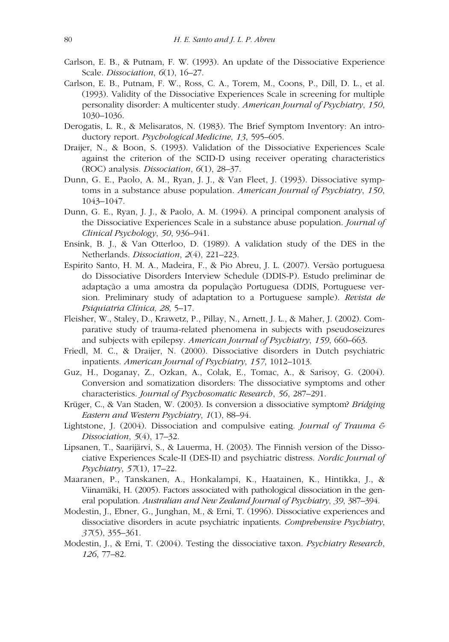- Carlson, E. B., & Putnam, F. W. (1993). An update of the Dissociative Experience Scale. *Dissociation*, *6*(1), 16–27.
- Carlson, E. B., Putnam, F. W., Ross, C. A., Torem, M., Coons, P., Dill, D. L., et al. (1993). Validity of the Dissociative Experiences Scale in screening for multiple personality disorder: A multicenter study. *American Journal of Psychiatry*, *150*, 1030–1036.
- Derogatis, L. R., & Melisaratos, N. (1983). The Brief Symptom Inventory: An introductory report. *Psychological Medicine*, *13*, 595–605.
- Draijer, N., & Boon, S. (1993). Validation of the Dissociative Experiences Scale against the criterion of the SCID-D using receiver operating characteristics (ROC) analysis. *Dissociation*, *6*(1), 28–37.
- Dunn, G. E., Paolo, A. M., Ryan, J. J., & Van Fleet, J. (1993). Dissociative symptoms in a substance abuse population. *American Journal of Psychiatry*, *150*, 1043–1047.
- Dunn, G. E., Ryan, J. J., & Paolo, A. M. (1994). A principal component analysis of the Dissociative Experiences Scale in a substance abuse population. *Journal of Clinical Psychology*, *50*, 936–941.
- Ensink, B. J., & Van Otterloo, D. (1989). A validation study of the DES in the Netherlands. *Dissociation*, *2*(4), 221–223.
- Espirito Santo, H. M. A., Madeira, F., & Pio Abreu, J. L. (2007). Versão portuguesa do Dissociative Disorders Interview Schedule (DDIS-P). Estudo preliminar de adaptação a uma amostra da população Portuguesa (DDIS, Portuguese version. Preliminary study of adaptation to a Portuguese sample). *Revista de Psiquiatria Clínica, 28,* 5–17*.*
- Fleisher, W., Staley, D., Krawetz, P., Pillay, N., Arnett, J. L., & Maher, J. (2002). Comparative study of trauma-related phenomena in subjects with pseudoseizures and subjects with epilepsy. *American Journal of Psychiatry*, *159*, 660–663.
- Friedl, M. C., & Draijer, N. (2000). Dissociative disorders in Dutch psychiatric inpatients. *American Journal of Psychiatry*, *157*, 1012–1013.
- Guz, H., Doganay, Z., Ozkan, A., Colak, E., Tomac, A., & Sarisoy, G. (2004). Conversion and somatization disorders: The dissociative symptoms and other characteristics. *Journal of Psychosomatic Research*, *56*, 287–291.
- Krüger, C., & Van Staden, W. (2003). Is conversion a dissociative symptom? *Bridging Eastern and Western Psychiatry*, *1*(1), 88–94.
- Lightstone, J. (2004). Dissociation and compulsive eating. *Journal of Trauma & Dissociation*, *5*(4), 17–32.
- Lipsanen, T., Saarijärvi, S., & Lauerma, H. (2003). The Finnish version of the Dissociative Experiences Scale-II (DES-II) and psychiatric distress. *Nordic Journal of Psychiatry*, *57*(1), 17–22.
- Maaranen, P., Tanskanen, A., Honkalampi, K., Haatainen, K., Hintikka, J., & Viinamäki, H. (2005). Factors associated with pathological dissociation in the general population. *Australian and New Zealand Journal of Psychiatry*, *39*, 387–394.
- Modestin, J., Ebner, G., Junghan, M., & Erni, T. (1996). Dissociative experiences and dissociative disorders in acute psychiatric inpatients. *Comprehensive Psychiatry*, *37*(5), 355–361.
- Modestin, J., & Erni, T. (2004). Testing the dissociative taxon. *Psychiatry Research*, *126*, 77–82.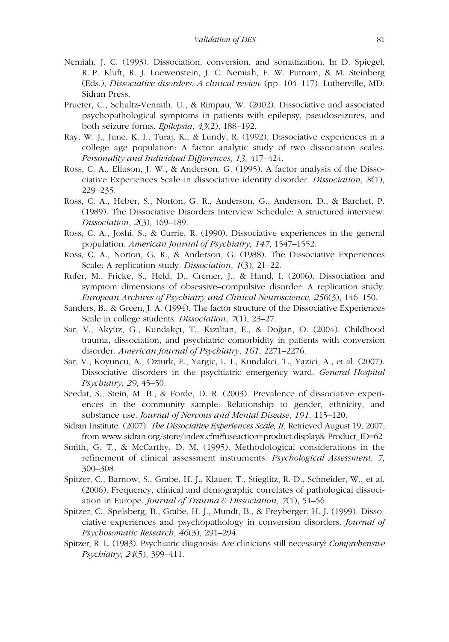- Nemiah, J. C. (1993). Dissociation, conversion, and somatization. In D. Spiegel, R. P. Kluft, R. J. Loewenstein, J. C. Nemiah, F. W. Putnam, & M. Steinberg (Eds.), *Dissociative disorders: A clinical review* (pp. 104–117). Lutherville, MD: Sidran Press.
- Prueter, C., Schultz-Venrath, U., & Rimpau, W. (2002). Dissociative and associated psychopathological symptoms in patients with epilepsy, pseudoseizures, and both seizure forms. *Epilepsia*, *43*(2), 188–192.
- Ray, W. J., June, K. I., Turaj, K., & Lundy, R. (1992). Dissociative experiences in a college age population: A factor analytic study of two dissociation scales. *Personality and Individual Differences*, *13*, 417–424.
- Ross, C. A., Ellason, J. W., & Anderson, G. (1995). A factor analysis of the Dissociative Experiences Scale in dissociative identity disorder. *Dissociation*, *8*(1), 229–235.
- Ross, C. A., Heber, S., Norton, G. R., Anderson, G., Anderson, D., & Barchet, P. (1989). The Dissociative Disorders Interview Schedule: A structured interview. *Dissociation*, *2*(3), 169–189.
- Ross, C. A., Joshi, S., & Currie, R. (1990). Dissociative experiences in the general population. *American Journal of Psychiatry*, *147*, 1547–1552.
- Ross, C. A., Norton, G. R., & Anderson, G. (1988). The Dissociative Experiences Scale: A replication study. *Dissociation*, *1*(3), 21–22.
- Rufer, M., Fricke, S., Held, D., Cremer, J., & Hand, I. (2006). Dissociation and symptom dimensions of obsessive–compulsive disorder: A replication study. *European Archives of Psychiatry and Clinical Neuroscience*, *256*(3), 146–150.
- Sanders, B., & Green, J. A. (1994). The factor structure of the Dissociative Experiences Scale in college students. *Dissociation*, *7*(1), 23–27.
- Sar, V., Akyüz, G., Kundakçι, T., Kιzιltan, E., & Dogan, O. (2004). Childhood trauma, dissociation, and psychiatric comorbidity in patients with conversion disorder. *American Journal of Psychiatry*, *161*, 2271–2276.
- Sar, V., Koyuncu, A., Ozturk, E., Yargic, L. I., Kundakci, T., Yazici, A., et al. (2007). Dissociative disorders in the psychiatric emergency ward. *General Hospital Psychiatry*, *29*, 45–50.
- Seedat, S., Stein, M. B., & Forde, D. R. (2003). Prevalence of dissociative experiences in the community sample: Relationship to gender, ethnicity, and substance use. *Journal of Nervous and Mental Disease*, *191*, 115–120.
- Sidran Institute. (2007). *The Dissociative Experiences Scale, II*. Retrieved August 19, 2007, from www.sidran.org/store/index.cfm?fuseaction=product.display& Product\_ID=62
- Smith, G. T., & McCarthy, D. M. (1995). Methodological considerations in the refinement of clinical assessment instruments. *Psychological Assessment*, *7*, 300–308.
- Spitzer, C., Barnow, S., Grabe, H.-J., Klauer, T., Stieglitz, R.-D., Schneider, W., et al. (2006). Frequency, clinical and demographic correlates of pathological dissociation in Europe. *Journal of Trauma & Dissociation*, *7*(1), 51–56.
- Spitzer, C., Spelsberg, B., Grabe, H.-J., Mundt, B., & Freyberger, H. J. (1999). Dissociative experiences and psychopathology in conversion disorders. *Journal of Psychosomatic Research*, *46*(3), 291–294.
- Spitzer, R. L. (1983). Psychiatric diagnosis: Are clinicians still necessary? *Comprehensive Psychiatry*, *24*(5), 399–411.